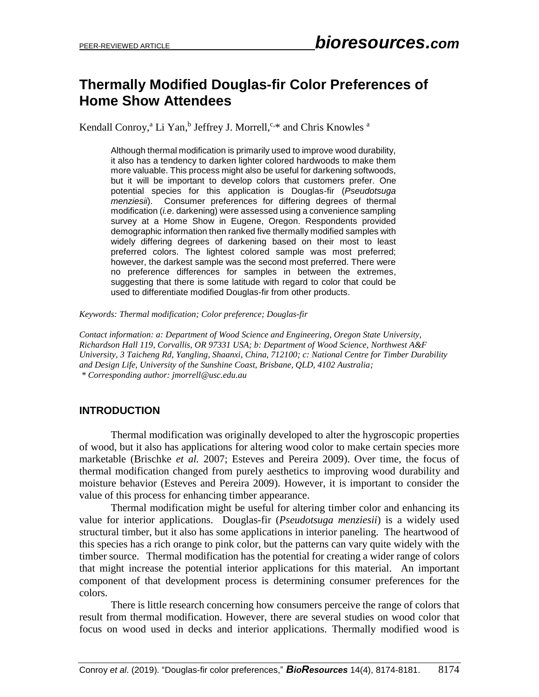# **Thermally Modified Douglas-fir Color Preferences of Home Show Attendees**

Kendall Conroy,<sup>a</sup> Li Yan,<sup>b</sup> Jeffrey J. Morrell,<sup>c,\*</sup> and Chris Knowles <sup>a</sup>

Although thermal modification is primarily used to improve wood durability, it also has a tendency to darken lighter colored hardwoods to make them more valuable. This process might also be useful for darkening softwoods, but it will be important to develop colors that customers prefer. One potential species for this application is Douglas-fir (*Pseudotsuga menziesii*). Consumer preferences for differing degrees of thermal modification (*i.e*. darkening) were assessed using a convenience sampling survey at a Home Show in Eugene, Oregon. Respondents provided demographic information then ranked five thermally modified samples with widely differing degrees of darkening based on their most to least preferred colors. The lightest colored sample was most preferred; however, the darkest sample was the second most preferred. There were no preference differences for samples in between the extremes, suggesting that there is some latitude with regard to color that could be used to differentiate modified Douglas-fir from other products.

*Keywords: Thermal modification; Color preference; Douglas-fir*

*Contact information: a: Department of Wood Science and Engineering, Oregon State University, Richardson Hall 119, Corvallis, OR 97331 USA; b: Department of Wood Science, Northwest A&F University, 3 Taicheng Rd, Yangling, Shaanxi, China, 712100; c: National Centre for Timber Durability and Design Life, University of the Sunshine Coast, Brisbane, QLD, 4102 Australia; \* Corresponding author: jmorrell@usc.edu.au*

### **INTRODUCTION**

Thermal modification was originally developed to alter the hygroscopic properties of wood, but it also has applications for altering wood color to make certain species more marketable (Brischke *et al.* 2007; Esteves and Pereira 2009). Over time, the focus of thermal modification changed from purely aesthetics to improving wood durability and moisture behavior (Esteves and Pereira 2009). However, it is important to consider the value of this process for enhancing timber appearance.

Thermal modification might be useful for altering timber color and enhancing its value for interior applications. Douglas-fir (*Pseudotsuga menziesii*) is a widely used structural timber, but it also has some applications in interior paneling. The heartwood of this species has a rich orange to pink color, but the patterns can vary quite widely with the timber source. Thermal modification has the potential for creating a wider range of colors that might increase the potential interior applications for this material. An important component of that development process is determining consumer preferences for the colors.

There is little research concerning how consumers perceive the range of colors that result from thermal modification. However, there are several studies on wood color that focus on wood used in decks and interior applications. Thermally modified wood is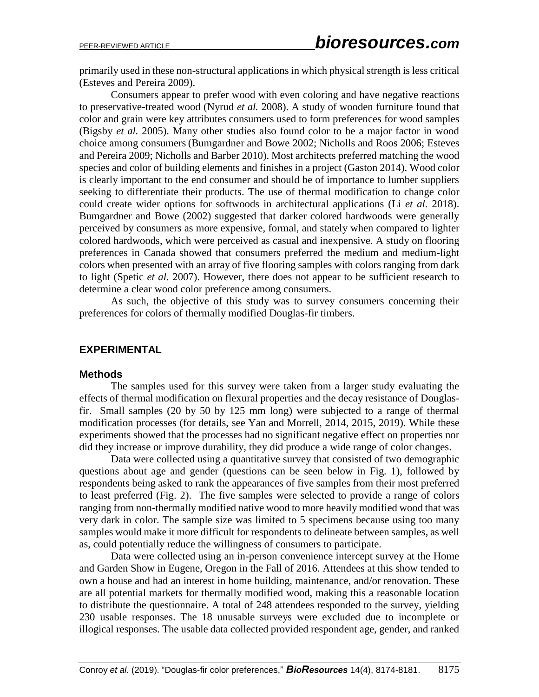primarily used in these non-structural applications in which physical strength is less critical (Esteves and Pereira 2009).

Consumers appear to prefer wood with even coloring and have negative reactions to preservative-treated wood (Nyrud *et al.* 2008). A study of wooden furniture found that color and grain were key attributes consumers used to form preferences for wood samples (Bigsby *et al.* 2005). Many other studies also found color to be a major factor in wood choice among consumers(Bumgardner and Bowe 2002; Nicholls and Roos 2006; Esteves and Pereira 2009; Nicholls and Barber 2010). Most architects preferred matching the wood species and color of building elements and finishes in a project (Gaston 2014). Wood color is clearly important to the end consumer and should be of importance to lumber suppliers seeking to differentiate their products. The use of thermal modification to change color could create wider options for softwoods in architectural applications (Li *et al.* 2018). Bumgardner and Bowe (2002) suggested that darker colored hardwoods were generally perceived by consumers as more expensive, formal, and stately when compared to lighter colored hardwoods, which were perceived as casual and inexpensive. A study on flooring preferences in Canada showed that consumers preferred the medium and medium-light colors when presented with an array of five flooring samples with colors ranging from dark to light (Spetic *et al.* 2007). However, there does not appear to be sufficient research to determine a clear wood color preference among consumers.

As such, the objective of this study was to survey consumers concerning their preferences for colors of thermally modified Douglas-fir timbers.

### **EXPERIMENTAL**

### **Methods**

The samples used for this survey were taken from a larger study evaluating the effects of thermal modification on flexural properties and the decay resistance of Douglasfir. Small samples (20 by 50 by 125 mm long) were subjected to a range of thermal modification processes (for details, see Yan and Morrell, 2014, 2015, 2019). While these experiments showed that the processes had no significant negative effect on properties nor did they increase or improve durability, they did produce a wide range of color changes.

Data were collected using a quantitative survey that consisted of two demographic questions about age and gender (questions can be seen below in Fig. 1), followed by respondents being asked to rank the appearances of five samples from their most preferred to least preferred (Fig. 2). The five samples were selected to provide a range of colors ranging from non-thermally modified native wood to more heavily modified wood that was very dark in color. The sample size was limited to 5 specimens because using too many samples would make it more difficult for respondents to delineate between samples, as well as, could potentially reduce the willingness of consumers to participate.

Data were collected using an in-person convenience intercept survey at the Home and Garden Show in Eugene, Oregon in the Fall of 2016. Attendees at this show tended to own a house and had an interest in home building, maintenance, and/or renovation. These are all potential markets for thermally modified wood, making this a reasonable location to distribute the questionnaire. A total of 248 attendees responded to the survey, yielding 230 usable responses. The 18 unusable surveys were excluded due to incomplete or illogical responses. The usable data collected provided respondent age, gender, and ranked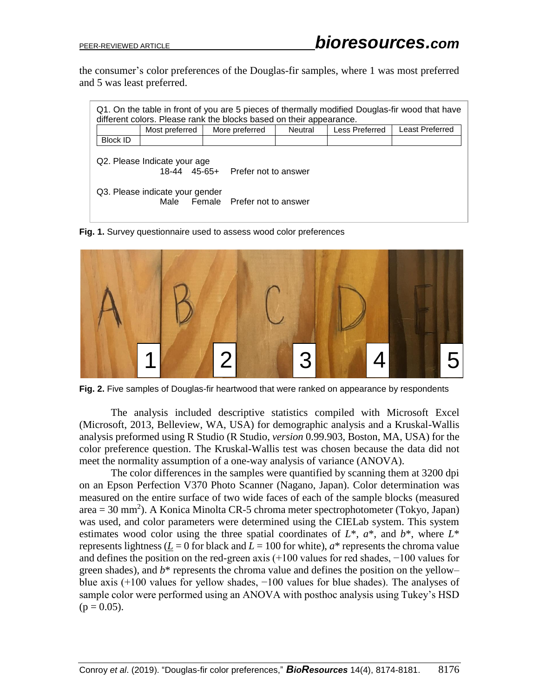the consumer's color preferences of the Douglas-fir samples, where 1 was most preferred and 5 was least preferred.

| Q1. On the table in front of you are 5 pieces of thermally modified Douglas-fir wood that have<br>different colors. Please rank the blocks based on their appearance. |                |                |         |                |                 |  |  |  |  |  |
|-----------------------------------------------------------------------------------------------------------------------------------------------------------------------|----------------|----------------|---------|----------------|-----------------|--|--|--|--|--|
|                                                                                                                                                                       | Most preferred | More preferred | Neutral | Less Preferred | Least Preferred |  |  |  |  |  |
| <b>Block ID</b>                                                                                                                                                       |                |                |         |                |                 |  |  |  |  |  |
| Q2. Please Indicate your age<br>18-44 45-65+ Prefer not to answer                                                                                                     |                |                |         |                |                 |  |  |  |  |  |
| Q3. Please indicate your gender<br>Female Prefer not to answer<br>Male                                                                                                |                |                |         |                |                 |  |  |  |  |  |

**Fig. 1.** Survey questionnaire used to assess wood color preferences



Fig. 2. Five samples of Douglas-fir heartwood that were ranked on appearance by respondents

The analysis included descriptive statistics compiled with Microsoft Excel (Microsoft, 2013, Belleview, WA, USA) for demographic analysis and a Kruskal-Wallis analysis preformed using R Studio (R Studio, *version* 0.99.903, Boston, MA, USA) for the color preference question. The Kruskal-Wallis test was chosen because the data did not meet the normality assumption of a one-way analysis of variance (ANOVA).

The color differences in the samples were quantified by scanning them at 3200 dpi on an Epson Perfection V370 Photo Scanner (Nagano, Japan). Color determination was measured on the entire surface of two wide faces of each of the sample blocks (measured  $area = 30$  mm<sup>2</sup>). A Konica Minolta CR-5 chroma meter spectrophotometer (Tokyo, Japan) was used, and color parameters were determined using the CIELab system. This system estimates wood color using the three spatial coordinates of *L*\*, *a*\*, and *b*\*, where *L*\* represents lightness ( $\underline{L} = 0$  for black and  $L = 100$  for white),  $a^*$  represents the chroma value and defines the position on the red-green axis (+100 values for red shades, −100 values for green shades), and *b*\* represents the chroma value and defines the position on the yellow– blue axis (+100 values for yellow shades, −100 values for blue shades). The analyses of sample color were performed using an ANOVA with posthoc analysis using Tukey's HSD  $(p = 0.05)$ .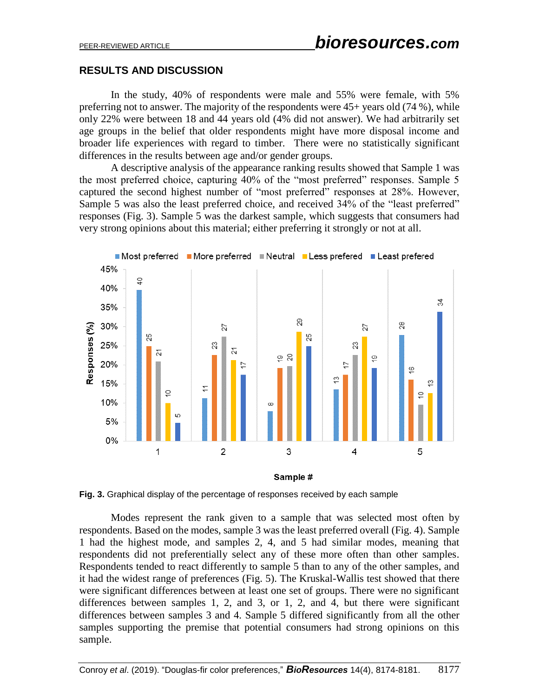## **RESULTS AND DISCUSSION**

In the study, 40% of respondents were male and 55% were female, with 5% preferring not to answer. The majority of the respondents were 45+ years old (74 %), while only 22% were between 18 and 44 years old (4% did not answer). We had arbitrarily set age groups in the belief that older respondents might have more disposal income and broader life experiences with regard to timber. There were no statistically significant differences in the results between age and/or gender groups.

A descriptive analysis of the appearance ranking results showed that Sample 1 was the most preferred choice, capturing 40% of the "most preferred" responses. Sample 5 captured the second highest number of "most preferred" responses at 28%. However, Sample 5 was also the least preferred choice, and received 34% of the "least preferred" responses (Fig. 3). Sample 5 was the darkest sample, which suggests that consumers had very strong opinions about this material; either preferring it strongly or not at all.





Modes represent the rank given to a sample that was selected most often by respondents. Based on the modes, sample 3 was the least preferred overall (Fig. 4). Sample 1 had the highest mode, and samples 2, 4, and 5 had similar modes, meaning that respondents did not preferentially select any of these more often than other samples. Respondents tended to react differently to sample 5 than to any of the other samples, and it had the widest range of preferences (Fig. 5). The Kruskal-Wallis test showed that there were significant differences between at least one set of groups. There were no significant differences between samples 1, 2, and 3, or 1, 2, and 4, but there were significant differences between samples 3 and 4. Sample 5 differed significantly from all the other samples supporting the premise that potential consumers had strong opinions on this sample.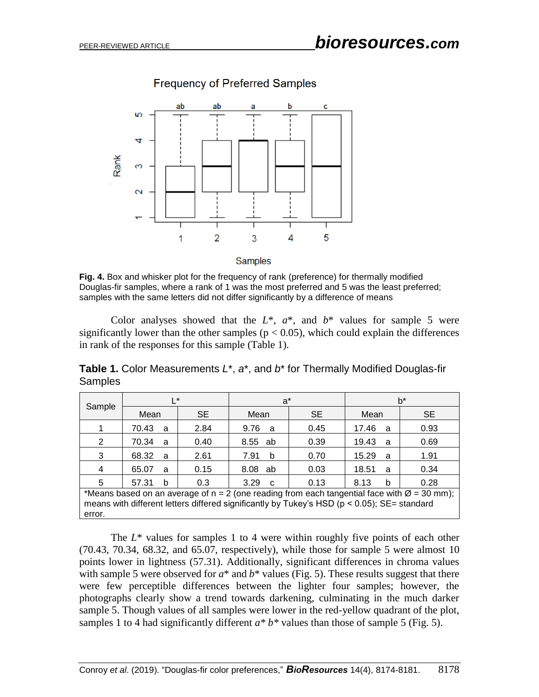

**Frequency of Preferred Samples** 

Samples

**Fig. 4.** Box and whisker plot for the frequency of rank (preference) for thermally modified Douglas-fir samples, where a rank of 1 was the most preferred and 5 was the least preferred; samples with the same letters did not differ significantly by a difference of means

Color analyses showed that the  $L^*$ ,  $a^*$ , and  $b^*$  values for sample 5 were significantly lower than the other samples ( $p < 0.05$ ), which could explain the differences in rank of the responses for this sample (Table 1).

**Table 1.** Color Measurements *L*\*, *a*\*, and *b*\* for Thermally Modified Douglas-fir Samples

| Sample                                                                                                    | I∗                    |           | $a^*$                |           | b*         |           |  |  |  |
|-----------------------------------------------------------------------------------------------------------|-----------------------|-----------|----------------------|-----------|------------|-----------|--|--|--|
|                                                                                                           | Mean                  | <b>SE</b> | Mean                 | <b>SE</b> | Mean       | <b>SE</b> |  |  |  |
|                                                                                                           | 70.43<br>a            | 2.84      | 9.76<br>a            | 0.45      | 17.46<br>a | 0.93      |  |  |  |
| 2                                                                                                         | 70.34<br>a            | 0.40      | 8.55<br>ab           | 0.39      | 19.43<br>a | 0.69      |  |  |  |
| 3                                                                                                         | 68.32<br>a            | 2.61      | 7.91<br>b            | 0.70      | 15.29<br>a | 1.91      |  |  |  |
| 4                                                                                                         | 65.07<br>a            | 0.15      | 8.08<br>ab           | 0.03      | 18.51<br>a | 0.34      |  |  |  |
| 5                                                                                                         | 57.31<br><sub>b</sub> | 0.3       | 3.29<br>$\mathbf{C}$ | 0.13      | 8.13<br>b  | 0.28      |  |  |  |
| *Means based on an average of $n = 2$ (one reading from each tangential face with $\varnothing = 30$ mm); |                       |           |                      |           |            |           |  |  |  |
| means with different letters differed significantly by Tukey's HSD ( $p < 0.05$ ); SE= standard<br>error. |                       |           |                      |           |            |           |  |  |  |
|                                                                                                           |                       |           |                      |           |            |           |  |  |  |

The  $L^*$  values for samples 1 to 4 were within roughly five points of each other (70.43, 70.34, 68.32, and 65.07, respectively), while those for sample 5 were almost 10 points lower in lightness (57.31). Additionally, significant differences in chroma values with sample 5 were observed for  $a^*$  and  $b^*$  values (Fig. 5). These results suggest that there were few perceptible differences between the lighter four samples; however, the photographs clearly show a trend towards darkening, culminating in the much darker sample 5. Though values of all samples were lower in the red-yellow quadrant of the plot, samples 1 to 4 had significantly different  $a * b *$  values than those of sample 5 (Fig. 5).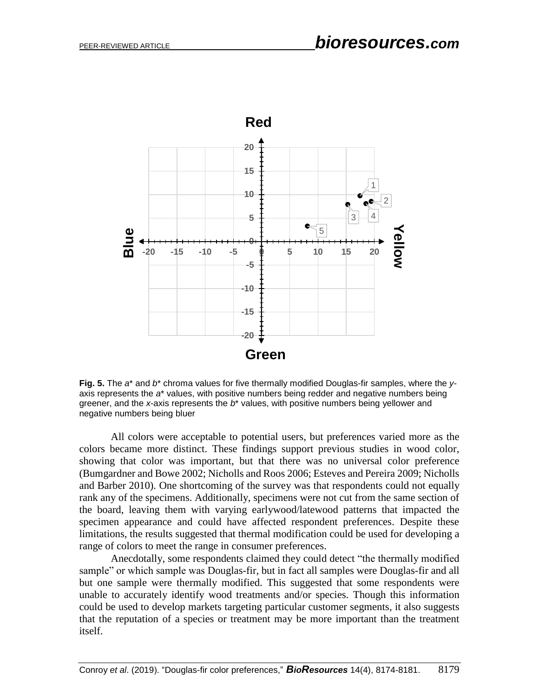

**Fig. 5.** The *a*\* and *b*\* chroma values for five thermally modified Douglas-fir samples, where the *y*axis represents the *a*\* values, with positive numbers being redder and negative numbers being greener, and the *x*-axis represents the *b*\* values, with positive numbers being yellower and negative numbers being bluer

All colors were acceptable to potential users, but preferences varied more as the colors became more distinct. These findings support previous studies in wood color, showing that color was important, but that there was no universal color preference (Bumgardner and Bowe 2002; Nicholls and Roos 2006; Esteves and Pereira 2009; Nicholls and Barber 2010). One shortcoming of the survey was that respondents could not equally rank any of the specimens. Additionally, specimens were not cut from the same section of the board, leaving them with varying earlywood/latewood patterns that impacted the specimen appearance and could have affected respondent preferences. Despite these limitations, the results suggested that thermal modification could be used for developing a range of colors to meet the range in consumer preferences.

Anecdotally, some respondents claimed they could detect "the thermally modified sample" or which sample was Douglas-fir, but in fact all samples were Douglas-fir and all but one sample were thermally modified. This suggested that some respondents were unable to accurately identify wood treatments and/or species. Though this information could be used to develop markets targeting particular customer segments, it also suggests that the reputation of a species or treatment may be more important than the treatment itself.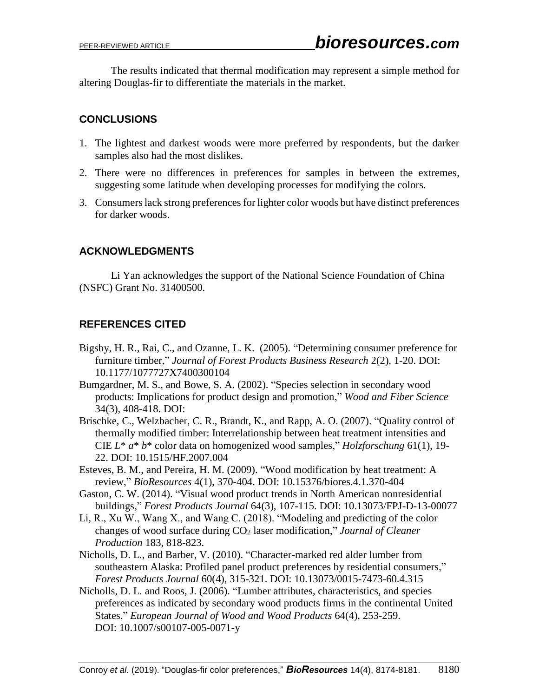The results indicated that thermal modification may represent a simple method for altering Douglas-fir to differentiate the materials in the market.

# **CONCLUSIONS**

- 1. The lightest and darkest woods were more preferred by respondents, but the darker samples also had the most dislikes.
- 2. There were no differences in preferences for samples in between the extremes, suggesting some latitude when developing processes for modifying the colors.
- 3. Consumers lack strong preferences for lighter color woods but have distinct preferences for darker woods.

## **ACKNOWLEDGMENTS**

Li Yan acknowledges the support of the National Science Foundation of China (NSFC) Grant No. 31400500.

# **REFERENCES CITED**

- Bigsby, H. R., Rai, C., and Ozanne, L. K. (2005). "Determining consumer preference for furniture timber," *Journal of Forest Products Business Research* 2(2), 1-20. DOI: 10.1177/1077727X7400300104
- Bumgardner, M. S., and Bowe, S. A. (2002). "Species selection in secondary wood products: Implications for product design and promotion," *Wood and Fiber Science* 34(3), 408-418. DOI:
- Brischke, C., Welzbacher, C. R., Brandt, K., and Rapp, A. O. (2007). "Quality control of thermally modified timber: Interrelationship between heat treatment intensities and CIE *L*\* *a*\* *b*\* color data on homogenized wood samples," *Holzforschung* 61(1), 19- 22. DOI: 10.1515/HF.2007.004
- Esteves, B. M., and Pereira, H. M. (2009). "Wood modification by heat treatment: A review," *BioResources* 4(1), 370-404. DOI: 10.15376/biores.4.1.370-404
- Gaston, C. W. (2014). "Visual wood product trends in North American nonresidential buildings," *Forest Products Journal* 64(3), 107-115. DOI: 10.13073/FPJ-D-13-00077
- Li, R., Xu W., Wang X., and Wang C. (2018). "Modeling and predicting of the color changes of wood surface during CO<sup>2</sup> laser modification," *Journal of Cleaner Production* 183, 818-823.
- Nicholls, D. L., and Barber, V. (2010). "Character-marked red alder lumber from southeastern Alaska: Profiled panel product preferences by residential consumers," *Forest Products Journal* 60(4), 315-321. DOI: 10.13073/0015-7473-60.4.315
- Nicholls, D. L. and Roos, J. (2006). "Lumber attributes, characteristics, and species preferences as indicated by secondary wood products firms in the continental United States," *European Journal of Wood and Wood Products* 64(4), 253-259. DOI: 10.1007/s00107-005-0071-y